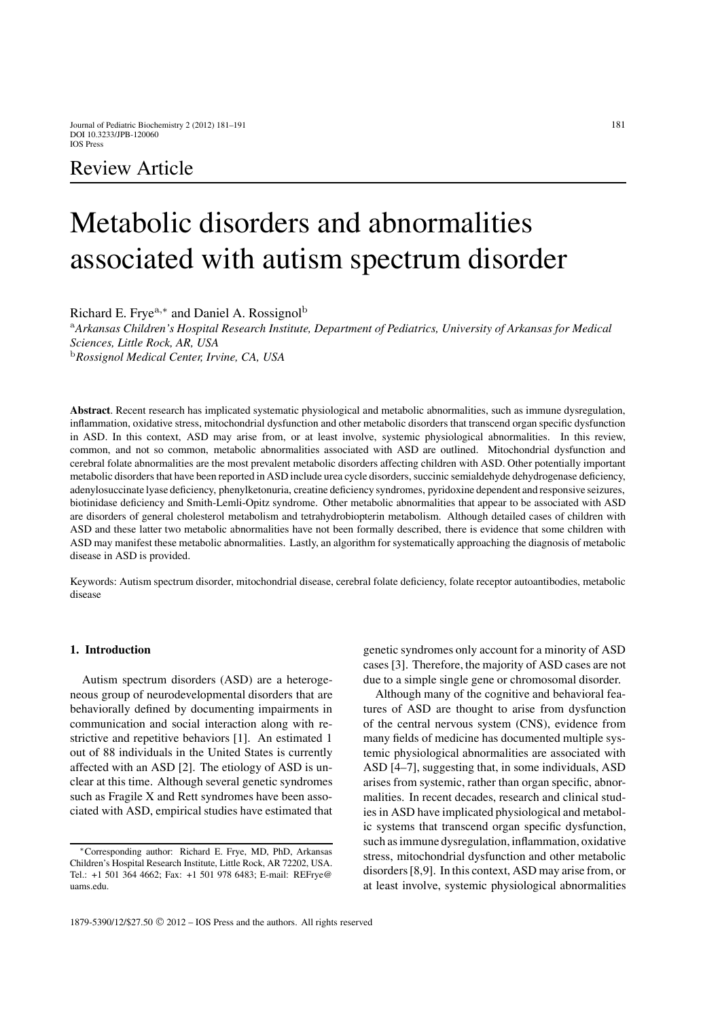# Review Article

# Metabolic disorders and abnormalities associated with autism spectrum disorder

Richard E. Frye<sup>a,\*</sup> and Daniel A. Rossignol<sup>b</sup>

<sup>a</sup>*Arkansas Children's Hospital Research Institute, Department of Pediatrics, University of Arkansas for Medical Sciences, Little Rock, AR, USA* <sup>b</sup>*Rossignol Medical Center, Irvine, CA, USA*

**Abstract**. Recent research has implicated systematic physiological and metabolic abnormalities, such as immune dysregulation, inflammation, oxidative stress, mitochondrial dysfunction and other metabolic disorders that transcend organ specific dysfunction in ASD. In this context, ASD may arise from, or at least involve, systemic physiological abnormalities. In this review, common, and not so common, metabolic abnormalities associated with ASD are outlined. Mitochondrial dysfunction and cerebral folate abnormalities are the most prevalent metabolic disorders affecting children with ASD. Other potentially important metabolic disorders that have been reported in ASD include urea cycle disorders, succinic semialdehyde dehydrogenase deficiency, adenylosuccinate lyase deficiency, phenylketonuria, creatine deficiency syndromes, pyridoxine dependent and responsive seizures, biotinidase deficiency and Smith-Lemli-Opitz syndrome. Other metabolic abnormalities that appear to be associated with ASD are disorders of general cholesterol metabolism and tetrahydrobiopterin metabolism. Although detailed cases of children with ASD and these latter two metabolic abnormalities have not been formally described, there is evidence that some children with ASD may manifest these metabolic abnormalities. Lastly, an algorithm for systematically approaching the diagnosis of metabolic disease in ASD is provided.

Keywords: Autism spectrum disorder, mitochondrial disease, cerebral folate deficiency, folate receptor autoantibodies, metabolic disease

# **1. Introduction**

Autism spectrum disorders (ASD) are a heterogeneous group of neurodevelopmental disorders that are behaviorally defined by documenting impairments in communication and social interaction along with restrictive and repetitive behaviors [1]. An estimated 1 out of 88 individuals in the United States is currently affected with an ASD [2]. The etiology of ASD is unclear at this time. Although several genetic syndromes such as Fragile X and Rett syndromes have been associated with ASD, empirical studies have estimated that genetic syndromes only account for a minority of ASD cases [3]. Therefore, the majority of ASD cases are not due to a simple single gene or chromosomal disorder.

Although many of the cognitive and behavioral features of ASD are thought to arise from dysfunction of the central nervous system (CNS), evidence from many fields of medicine has documented multiple systemic physiological abnormalities are associated with ASD [4–7], suggesting that, in some individuals, ASD arises from systemic, rather than organ specific, abnormalities. In recent decades, research and clinical studies in ASD have implicated physiological and metabolic systems that transcend organ specific dysfunction, such as immune dysregulation, inflammation, oxidative stress, mitochondrial dysfunction and other metabolic disorders [8,9]. In this context, ASD may arise from, or at least involve, systemic physiological abnormalities

<sup>∗</sup>Corresponding author: Richard E. Frye, MD, PhD, Arkansas Children's Hospital Research Institute, Little Rock, AR 72202, USA. Tel.: +1 501 364 4662; Fax: +1 501 978 6483; E-mail: REFrye@ uams.edu.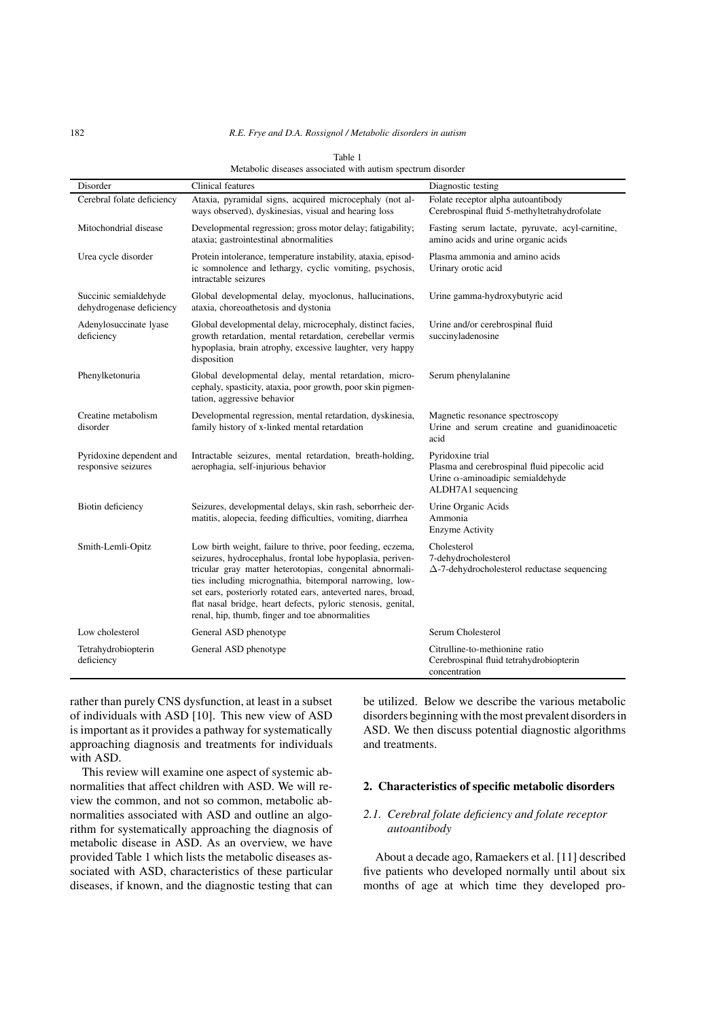#### 182 *R.E. Frye and D.A. Rossignol / Metabolic disorders in autism*

| ivictabolic diseases associated with autism speculum disorder |                                                                                                                                                                                                                                                                                                                                                                                                                                    |                                                                                                                                     |  |  |  |  |
|---------------------------------------------------------------|------------------------------------------------------------------------------------------------------------------------------------------------------------------------------------------------------------------------------------------------------------------------------------------------------------------------------------------------------------------------------------------------------------------------------------|-------------------------------------------------------------------------------------------------------------------------------------|--|--|--|--|
| Disorder                                                      | Clinical features                                                                                                                                                                                                                                                                                                                                                                                                                  | Diagnostic testing                                                                                                                  |  |  |  |  |
| Cerebral folate deficiency                                    | Ataxia, pyramidal signs, acquired microcephaly (not al-<br>ways observed), dyskinesias, visual and hearing loss                                                                                                                                                                                                                                                                                                                    | Folate receptor alpha autoantibody<br>Cerebrospinal fluid 5-methyltetrahydrofolate                                                  |  |  |  |  |
| Mitochondrial disease                                         | Developmental regression; gross motor delay; fatigability;<br>ataxia; gastrointestinal abnormalities                                                                                                                                                                                                                                                                                                                               | Fasting serum lactate, pyruvate, acyl-carnitine,<br>amino acids and urine organic acids                                             |  |  |  |  |
| Urea cycle disorder                                           | Protein intolerance, temperature instability, ataxia, episod-<br>ic somnolence and lethargy, cyclic vomiting, psychosis,<br>intractable seizures                                                                                                                                                                                                                                                                                   | Plasma ammonia and amino acids<br>Urinary orotic acid                                                                               |  |  |  |  |
| Succinic semialdehyde<br>dehydrogenase deficiency             | Global developmental delay, myoclonus, hallucinations,<br>ataxia, choreoathetosis and dystonia                                                                                                                                                                                                                                                                                                                                     | Urine gamma-hydroxybutyric acid                                                                                                     |  |  |  |  |
| Adenylosuccinate lyase<br>deficiency                          | Global developmental delay, microcephaly, distinct facies,<br>growth retardation, mental retardation, cerebellar vermis<br>hypoplasia, brain atrophy, excessive laughter, very happy<br>disposition                                                                                                                                                                                                                                | Urine and/or cerebrospinal fluid<br>succinyladenosine                                                                               |  |  |  |  |
| Phenylketonuria                                               | Global developmental delay, mental retardation, micro-<br>cephaly, spasticity, ataxia, poor growth, poor skin pigmen-<br>tation, aggressive behavior                                                                                                                                                                                                                                                                               | Serum phenylalanine                                                                                                                 |  |  |  |  |
| Creatine metabolism<br>disorder                               | Developmental regression, mental retardation, dyskinesia,<br>family history of x-linked mental retardation                                                                                                                                                                                                                                                                                                                         | Magnetic resonance spectroscopy<br>Urine and serum creatine and guanidinoacetic<br>acid                                             |  |  |  |  |
| Pyridoxine dependent and<br>responsive seizures               | Intractable seizures, mental retardation, breath-holding,<br>aerophagia, self-injurious behavior                                                                                                                                                                                                                                                                                                                                   | Pyridoxine trial<br>Plasma and cerebrospinal fluid pipecolic acid<br>Urine $\alpha$ -aminoadipic semialdehyde<br>ALDH7A1 sequencing |  |  |  |  |
| Biotin deficiency                                             | Seizures, developmental delays, skin rash, seborrheic der-<br>matitis, alopecia, feeding difficulties, vomiting, diarrhea                                                                                                                                                                                                                                                                                                          | Urine Organic Acids<br>Ammonia<br><b>Enzyme Activity</b>                                                                            |  |  |  |  |
| Smith-Lemli-Opitz                                             | Low birth weight, failure to thrive, poor feeding, eczema,<br>seizures, hydrocephalus, frontal lobe hypoplasia, periven-<br>tricular gray matter heterotopias, congenital abnormali-<br>ties including micrognathia, bitemporal narrowing, low-<br>set ears, posteriorly rotated ears, anteverted nares, broad,<br>flat nasal bridge, heart defects, pyloric stenosis, genital,<br>renal, hip, thumb, finger and toe abnormalities | Cholesterol<br>7-dehydrocholesterol<br>$\Delta$ -7-dehydrocholesterol reductase sequencing                                          |  |  |  |  |
| Low cholesterol                                               | General ASD phenotype                                                                                                                                                                                                                                                                                                                                                                                                              | Serum Cholesterol                                                                                                                   |  |  |  |  |
| Tetrahydrobiopterin<br>deficiency                             | General ASD phenotype                                                                                                                                                                                                                                                                                                                                                                                                              | Citrulline-to-methionine ratio<br>Cerebrospinal fluid tetrahydrobiopterin<br>concentration                                          |  |  |  |  |

Table 1 Metabolic diseases associated with autism spectrum disorder

rather than purely CNS dysfunction, at least in a subset of individuals with ASD [10]. This new view of ASD is important as it provides a pathway for systematically approaching diagnosis and treatments for individuals with ASD.

This review will examine one aspect of systemic abnormalities that affect children with ASD. We will review the common, and not so common, metabolic abnormalities associated with ASD and outline an algorithm for systematically approaching the diagnosis of metabolic disease in ASD. As an overview, we have provided Table 1 which lists the metabolic diseases associated with ASD, characteristics of these particular diseases, if known, and the diagnostic testing that can be utilized. Below we describe the various metabolic disorders beginning with the most prevalent disorders in ASD. We then discuss potential diagnostic algorithms and treatments.

# **2. Characteristics of specific metabolic disorders**

# *2.1. Cerebral folate deficiency and folate receptor autoantibody*

About a decade ago, Ramaekers et al. [11] described five patients who developed normally until about six months of age at which time they developed pro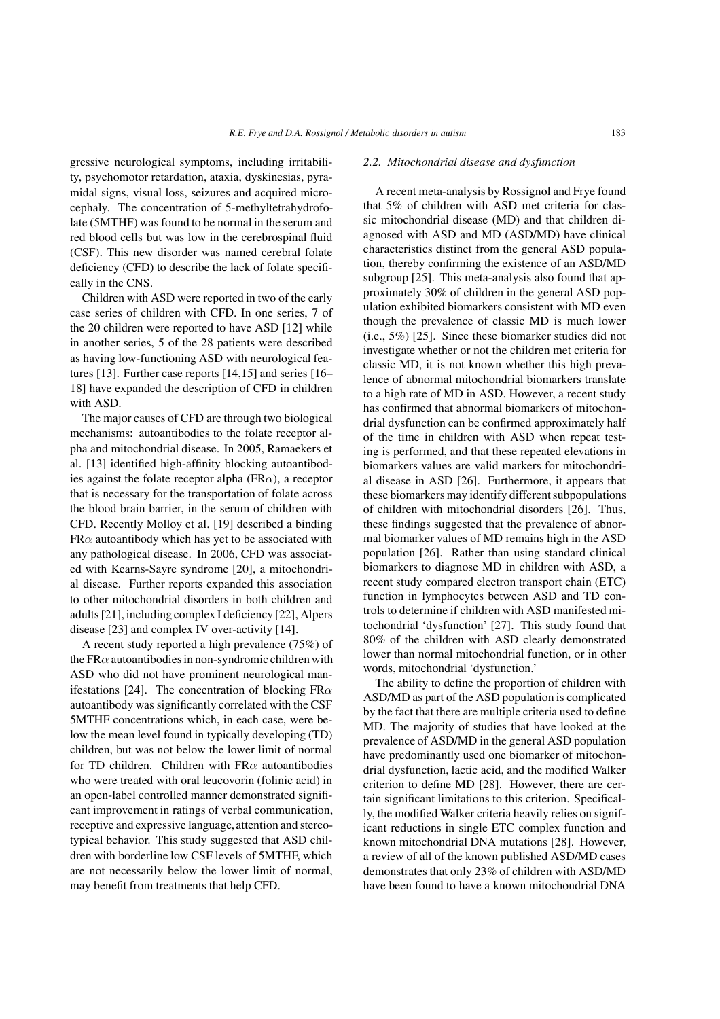gressive neurological symptoms, including irritability, psychomotor retardation, ataxia, dyskinesias, pyramidal signs, visual loss, seizures and acquired microcephaly. The concentration of 5-methyltetrahydrofolate (5MTHF) was found to be normal in the serum and red blood cells but was low in the cerebrospinal fluid (CSF). This new disorder was named cerebral folate deficiency (CFD) to describe the lack of folate specifically in the CNS.

Children with ASD were reported in two of the early case series of children with CFD. In one series, 7 of the 20 children were reported to have ASD [12] while in another series, 5 of the 28 patients were described as having low-functioning ASD with neurological features [13]. Further case reports [14,15] and series [16– 18] have expanded the description of CFD in children with ASD.

The major causes of CFD are through two biological mechanisms: autoantibodies to the folate receptor alpha and mitochondrial disease. In 2005, Ramaekers et al. [13] identified high-affinity blocking autoantibodies against the folate receptor alpha ( $FR\alpha$ ), a receptor that is necessary for the transportation of folate across the blood brain barrier, in the serum of children with CFD. Recently Molloy et al. [19] described a binding  $F R\alpha$  autoantibody which has yet to be associated with any pathological disease. In 2006, CFD was associated with Kearns-Sayre syndrome [20], a mitochondrial disease. Further reports expanded this association to other mitochondrial disorders in both children and adults [21], including complex I deficiency [22], Alpers disease [23] and complex IV over-activity [14].

A recent study reported a high prevalence (75%) of the FR $\alpha$  autoantibodies in non-syndromic children with ASD who did not have prominent neurological manifestations [24]. The concentration of blocking  $FR\alpha$ autoantibody was significantly correlated with the CSF 5MTHF concentrations which, in each case, were below the mean level found in typically developing (TD) children, but was not below the lower limit of normal for TD children. Children with  $FR\alpha$  autoantibodies who were treated with oral leucovorin (folinic acid) in an open-label controlled manner demonstrated significant improvement in ratings of verbal communication, receptive and expressive language, attention and stereotypical behavior. This study suggested that ASD children with borderline low CSF levels of 5MTHF, which are not necessarily below the lower limit of normal, may benefit from treatments that help CFD.

#### *2.2. Mitochondrial disease and dysfunction*

A recent meta-analysis by Rossignol and Frye found that 5% of children with ASD met criteria for classic mitochondrial disease (MD) and that children diagnosed with ASD and MD (ASD/MD) have clinical characteristics distinct from the general ASD population, thereby confirming the existence of an ASD/MD subgroup [25]. This meta-analysis also found that approximately 30% of children in the general ASD population exhibited biomarkers consistent with MD even though the prevalence of classic MD is much lower (i.e., 5%) [25]. Since these biomarker studies did not investigate whether or not the children met criteria for classic MD, it is not known whether this high prevalence of abnormal mitochondrial biomarkers translate to a high rate of MD in ASD. However, a recent study has confirmed that abnormal biomarkers of mitochondrial dysfunction can be confirmed approximately half of the time in children with ASD when repeat testing is performed, and that these repeated elevations in biomarkers values are valid markers for mitochondrial disease in ASD [26]. Furthermore, it appears that these biomarkers may identify different subpopulations of children with mitochondrial disorders [26]. Thus, these findings suggested that the prevalence of abnormal biomarker values of MD remains high in the ASD population [26]. Rather than using standard clinical biomarkers to diagnose MD in children with ASD, a recent study compared electron transport chain (ETC) function in lymphocytes between ASD and TD controls to determine if children with ASD manifested mitochondrial 'dysfunction' [27]. This study found that 80% of the children with ASD clearly demonstrated lower than normal mitochondrial function, or in other words, mitochondrial 'dysfunction.'

The ability to define the proportion of children with ASD/MD as part of the ASD population is complicated by the fact that there are multiple criteria used to define MD. The majority of studies that have looked at the prevalence of ASD/MD in the general ASD population have predominantly used one biomarker of mitochondrial dysfunction, lactic acid, and the modified Walker criterion to define MD [28]. However, there are certain significant limitations to this criterion. Specifically, the modified Walker criteria heavily relies on significant reductions in single ETC complex function and known mitochondrial DNA mutations [28]. However, a review of all of the known published ASD/MD cases demonstrates that only 23% of children with ASD/MD have been found to have a known mitochondrial DNA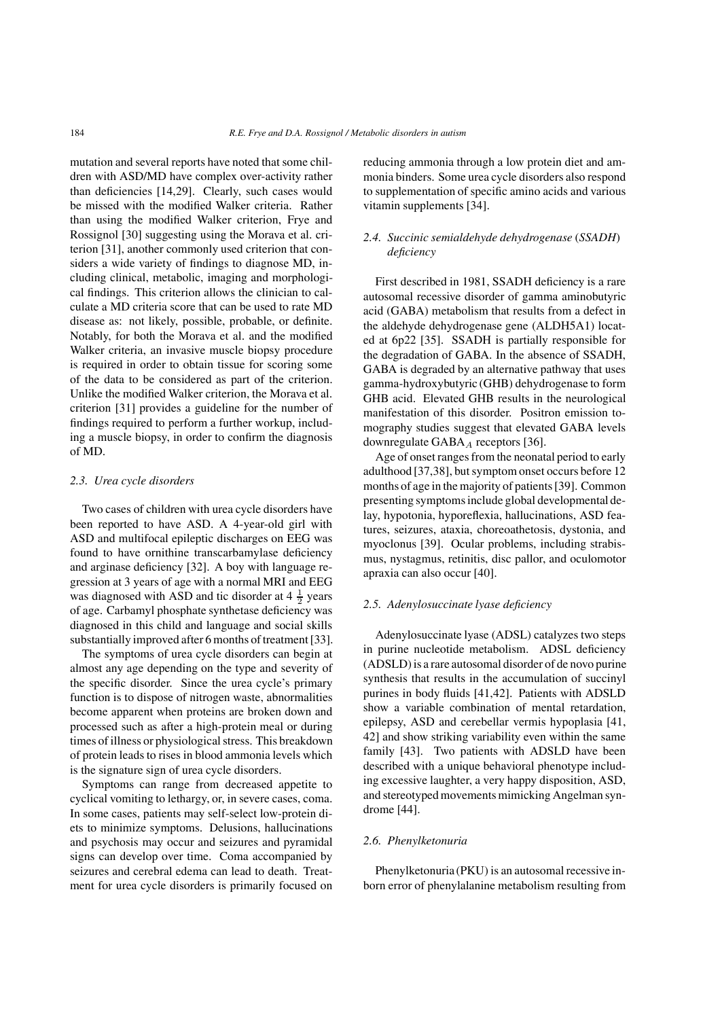mutation and several reports have noted that some children with ASD/MD have complex over-activity rather than deficiencies [14,29]. Clearly, such cases would be missed with the modified Walker criteria. Rather than using the modified Walker criterion, Frye and Rossignol [30] suggesting using the Morava et al. criterion [31], another commonly used criterion that considers a wide variety of findings to diagnose MD, including clinical, metabolic, imaging and morphological findings. This criterion allows the clinician to calculate a MD criteria score that can be used to rate MD disease as: not likely, possible, probable, or definite. Notably, for both the Morava et al. and the modified Walker criteria, an invasive muscle biopsy procedure is required in order to obtain tissue for scoring some of the data to be considered as part of the criterion. Unlike the modified Walker criterion, the Morava et al. criterion [31] provides a guideline for the number of findings required to perform a further workup, including a muscle biopsy, in order to confirm the diagnosis of MD.

#### *2.3. Urea cycle disorders*

Two cases of children with urea cycle disorders have been reported to have ASD. A 4-year-old girl with ASD and multifocal epileptic discharges on EEG was found to have ornithine transcarbamylase deficiency and arginase deficiency [32]. A boy with language regression at 3 years of age with a normal MRI and EEG was diagnosed with ASD and tic disorder at  $4\frac{1}{2}$  years of age. Carbamyl phosphate synthetase deficiency was diagnosed in this child and language and social skills substantially improved after 6 months of treatment [33].

The symptoms of urea cycle disorders can begin at almost any age depending on the type and severity of the specific disorder. Since the urea cycle's primary function is to dispose of nitrogen waste, abnormalities become apparent when proteins are broken down and processed such as after a high-protein meal or during times of illness or physiological stress. This breakdown of protein leads to rises in blood ammonia levels which is the signature sign of urea cycle disorders.

Symptoms can range from decreased appetite to cyclical vomiting to lethargy, or, in severe cases, coma. In some cases, patients may self-select low-protein diets to minimize symptoms. Delusions, hallucinations and psychosis may occur and seizures and pyramidal signs can develop over time. Coma accompanied by seizures and cerebral edema can lead to death. Treatment for urea cycle disorders is primarily focused on reducing ammonia through a low protein diet and ammonia binders. Some urea cycle disorders also respond to supplementation of specific amino acids and various vitamin supplements [34].

# *2.4. Succinic semialdehyde dehydrogenase* (*SSADH*) *deficiency*

First described in 1981, SSADH deficiency is a rare autosomal recessive disorder of gamma aminobutyric acid (GABA) metabolism that results from a defect in the aldehyde dehydrogenase gene (ALDH5A1) located at 6p22 [35]. SSADH is partially responsible for the degradation of GABA. In the absence of SSADH, GABA is degraded by an alternative pathway that uses gamma-hydroxybutyric (GHB) dehydrogenase to form GHB acid. Elevated GHB results in the neurological manifestation of this disorder. Positron emission tomography studies suggest that elevated GABA levels downregulate GABA*<sup>A</sup>* receptors [36].

Age of onset ranges from the neonatal period to early adulthood [37,38], but symptom onset occurs before 12 months of age in the majority of patients [39]. Common presenting symptoms include global developmental delay, hypotonia, hyporeflexia, hallucinations, ASD features, seizures, ataxia, choreoathetosis, dystonia, and myoclonus [39]. Ocular problems, including strabismus, nystagmus, retinitis, disc pallor, and oculomotor apraxia can also occur [40].

# *2.5. Adenylosuccinate lyase deficiency*

Adenylosuccinate lyase (ADSL) catalyzes two steps in purine nucleotide metabolism. ADSL deficiency (ADSLD) is a rare autosomal disorder of de novo purine synthesis that results in the accumulation of succinyl purines in body fluids [41,42]. Patients with ADSLD show a variable combination of mental retardation, epilepsy, ASD and cerebellar vermis hypoplasia [41, 42] and show striking variability even within the same family [43]. Two patients with ADSLD have been described with a unique behavioral phenotype including excessive laughter, a very happy disposition, ASD, and stereotyped movements mimicking Angelman syndrome [44].

# *2.6. Phenylketonuria*

Phenylketonuria (PKU) is an autosomal recessive inborn error of phenylalanine metabolism resulting from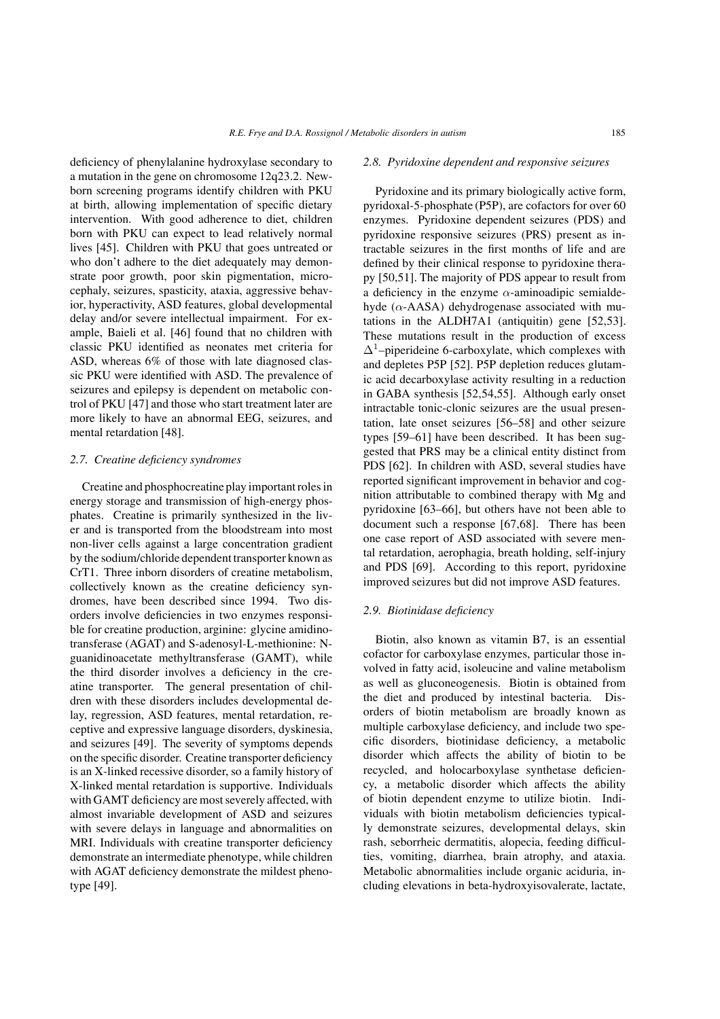deficiency of phenylalanine hydroxylase secondary to a mutation in the gene on chromosome 12q23.2. Newborn screening programs identify children with PKU at birth, allowing implementation of specific dietary intervention. With good adherence to diet, children born with PKU can expect to lead relatively normal lives [45]. Children with PKU that goes untreated or who don't adhere to the diet adequately may demonstrate poor growth, poor skin pigmentation, microcephaly, seizures, spasticity, ataxia, aggressive behavior, hyperactivity, ASD features, global developmental delay and/or severe intellectual impairment. For example, Baieli et al. [46] found that no children with classic PKU identified as neonates met criteria for ASD, whereas 6% of those with late diagnosed classic PKU were identified with ASD. The prevalence of seizures and epilepsy is dependent on metabolic control of PKU [47] and those who start treatment later are more likely to have an abnormal EEG, seizures, and mental retardation [48].

# *2.7. Creatine deficiency syndromes*

Creatine and phosphocreatine play important roles in energy storage and transmission of high-energy phosphates. Creatine is primarily synthesized in the liver and is transported from the bloodstream into most non-liver cells against a large concentration gradient by the sodium/chloride dependent transporter known as CrT1. Three inborn disorders of creatine metabolism, collectively known as the creatine deficiency syndromes, have been described since 1994. Two disorders involve deficiencies in two enzymes responsible for creatine production, arginine: glycine amidinotransferase (AGAT) and S-adenosyl-L-methionine: Nguanidinoacetate methyltransferase (GAMT), while the third disorder involves a deficiency in the creatine transporter. The general presentation of children with these disorders includes developmental delay, regression, ASD features, mental retardation, receptive and expressive language disorders, dyskinesia, and seizures [49]. The severity of symptoms depends on the specific disorder. Creatine transporter deficiency is an X-linked recessive disorder, so a family history of X-linked mental retardation is supportive. Individuals with GAMT deficiency are most severely affected, with almost invariable development of ASD and seizures with severe delays in language and abnormalities on MRI. Individuals with creatine transporter deficiency demonstrate an intermediate phenotype, while children with AGAT deficiency demonstrate the mildest phenotype [49].

#### *2.8. Pyridoxine dependent and responsive seizures*

Pyridoxine and its primary biologically active form, pyridoxal-5-phosphate (P5P), are cofactors for over 60 enzymes. Pyridoxine dependent seizures (PDS) and pyridoxine responsive seizures (PRS) present as intractable seizures in the first months of life and are defined by their clinical response to pyridoxine therapy [50,51]. The majority of PDS appear to result from a deficiency in the enzyme  $\alpha$ -aminoadipic semialdehyde  $(\alpha$ -AASA) dehydrogenase associated with mutations in the ALDH7A1 (antiquitin) gene [52,53]. These mutations result in the production of excess  $\Delta$ <sup>1</sup>–piperideine 6-carboxylate, which complexes with and depletes P5P [52]. P5P depletion reduces glutamic acid decarboxylase activity resulting in a reduction in GABA synthesis [52,54,55]. Although early onset intractable tonic-clonic seizures are the usual presentation, late onset seizures [56–58] and other seizure types [59–61] have been described. It has been suggested that PRS may be a clinical entity distinct from PDS [62]. In children with ASD, several studies have reported significant improvement in behavior and cognition attributable to combined therapy with Mg and pyridoxine [63–66], but others have not been able to document such a response [67,68]. There has been one case report of ASD associated with severe mental retardation, aerophagia, breath holding, self-injury and PDS [69]. According to this report, pyridoxine improved seizures but did not improve ASD features.

#### *2.9. Biotinidase deficiency*

Biotin, also known as vitamin B7, is an essential cofactor for carboxylase enzymes, particular those involved in fatty acid, isoleucine and valine metabolism as well as gluconeogenesis. Biotin is obtained from the diet and produced by intestinal bacteria. Disorders of biotin metabolism are broadly known as multiple carboxylase deficiency, and include two specific disorders, biotinidase deficiency, a metabolic disorder which affects the ability of biotin to be recycled, and holocarboxylase synthetase deficiency, a metabolic disorder which affects the ability of biotin dependent enzyme to utilize biotin. Individuals with biotin metabolism deficiencies typically demonstrate seizures, developmental delays, skin rash, seborrheic dermatitis, alopecia, feeding difficulties, vomiting, diarrhea, brain atrophy, and ataxia. Metabolic abnormalities include organic aciduria, including elevations in beta-hydroxyisovalerate, lactate,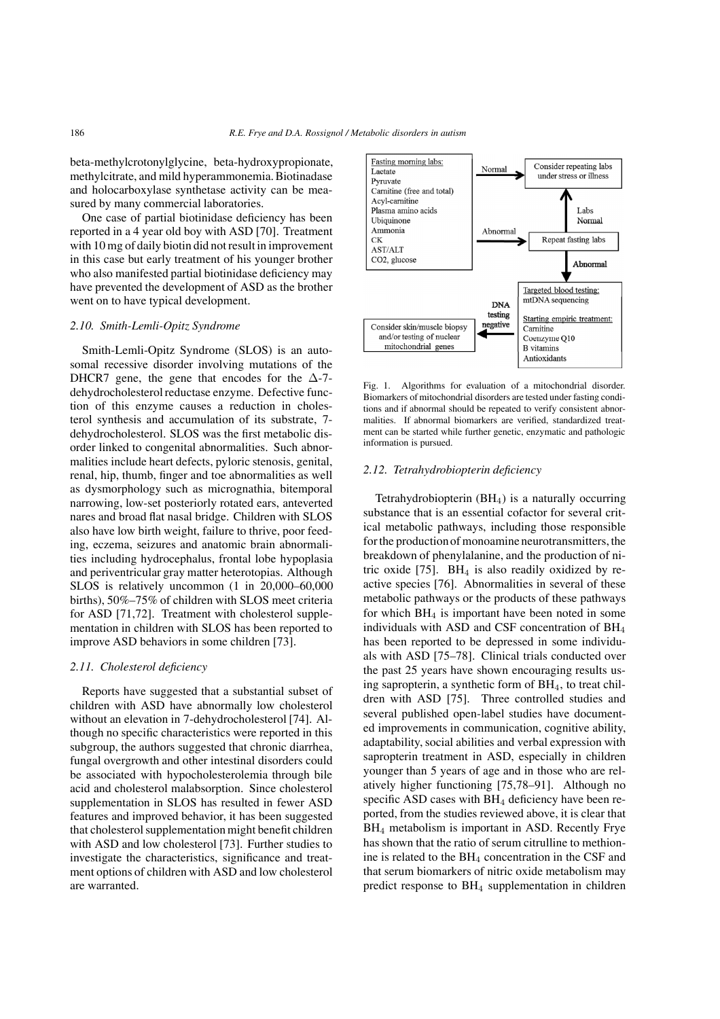beta-methylcrotonylglycine, beta-hydroxypropionate, methylcitrate, and mild hyperammonemia. Biotinadase and holocarboxylase synthetase activity can be measured by many commercial laboratories.

One case of partial biotinidase deficiency has been reported in a 4 year old boy with ASD [70]. Treatment with 10 mg of daily biotin did not result in improvement in this case but early treatment of his younger brother who also manifested partial biotinidase deficiency may have prevented the development of ASD as the brother went on to have typical development.

# *2.10. Smith-Lemli-Opitz Syndrome*

Smith-Lemli-Opitz Syndrome (SLOS) is an autosomal recessive disorder involving mutations of the DHCR7 gene, the gene that encodes for the  $\Delta$ -7dehydrocholesterol reductase enzyme. Defective function of this enzyme causes a reduction in cholesterol synthesis and accumulation of its substrate, 7 dehydrocholesterol. SLOS was the first metabolic disorder linked to congenital abnormalities. Such abnormalities include heart defects, pyloric stenosis, genital, renal, hip, thumb, finger and toe abnormalities as well as dysmorphology such as micrognathia, bitemporal narrowing, low-set posteriorly rotated ears, anteverted nares and broad flat nasal bridge. Children with SLOS also have low birth weight, failure to thrive, poor feeding, eczema, seizures and anatomic brain abnormalities including hydrocephalus, frontal lobe hypoplasia and periventricular gray matter heterotopias. Although SLOS is relatively uncommon (1 in 20,000–60,000 births), 50%–75% of children with SLOS meet criteria for ASD [71,72]. Treatment with cholesterol supplementation in children with SLOS has been reported to improve ASD behaviors in some children [73].

### *2.11. Cholesterol deficiency*

Reports have suggested that a substantial subset of children with ASD have abnormally low cholesterol without an elevation in 7-dehydrocholesterol [74]. Although no specific characteristics were reported in this subgroup, the authors suggested that chronic diarrhea, fungal overgrowth and other intestinal disorders could be associated with hypocholesterolemia through bile acid and cholesterol malabsorption. Since cholesterol supplementation in SLOS has resulted in fewer ASD features and improved behavior, it has been suggested that cholesterol supplementation might benefit children with ASD and low cholesterol [73]. Further studies to investigate the characteristics, significance and treatment options of children with ASD and low cholesterol are warranted.



Fig. 1. Algorithms for evaluation of a mitochondrial disorder. Biomarkers of mitochondrial disorders are tested under fasting conditions and if abnormal should be repeated to verify consistent abnormalities. If abnormal biomarkers are verified, standardized treatment can be started while further genetic, enzymatic and pathologic information is pursued.

#### *2.12. Tetrahydrobiopterin deficiency*

Tetrahydrobiopterin  $(BH<sub>4</sub>)$  is a naturally occurring substance that is an essential cofactor for several critical metabolic pathways, including those responsible for the production of monoamine neurotransmitters, the breakdown of phenylalanine, and the production of nitric oxide [75].  $BH<sub>4</sub>$  is also readily oxidized by reactive species [76]. Abnormalities in several of these metabolic pathways or the products of these pathways for which  $BH<sub>4</sub>$  is important have been noted in some individuals with ASD and CSF concentration of BH<sup>4</sup> has been reported to be depressed in some individuals with ASD [75–78]. Clinical trials conducted over the past 25 years have shown encouraging results using sapropterin, a synthetic form of  $BH<sub>4</sub>$ , to treat children with ASD [75]. Three controlled studies and several published open-label studies have documented improvements in communication, cognitive ability, adaptability, social abilities and verbal expression with sapropterin treatment in ASD, especially in children younger than 5 years of age and in those who are relatively higher functioning [75,78–91]. Although no specific ASD cases with  $BH<sub>4</sub>$  deficiency have been reported, from the studies reviewed above, it is clear that BH<sub>4</sub> metabolism is important in ASD. Recently Frye has shown that the ratio of serum citrulline to methionine is related to the BH<sub>4</sub> concentration in the CSF and that serum biomarkers of nitric oxide metabolism may predict response to  $BH<sub>4</sub>$  supplementation in children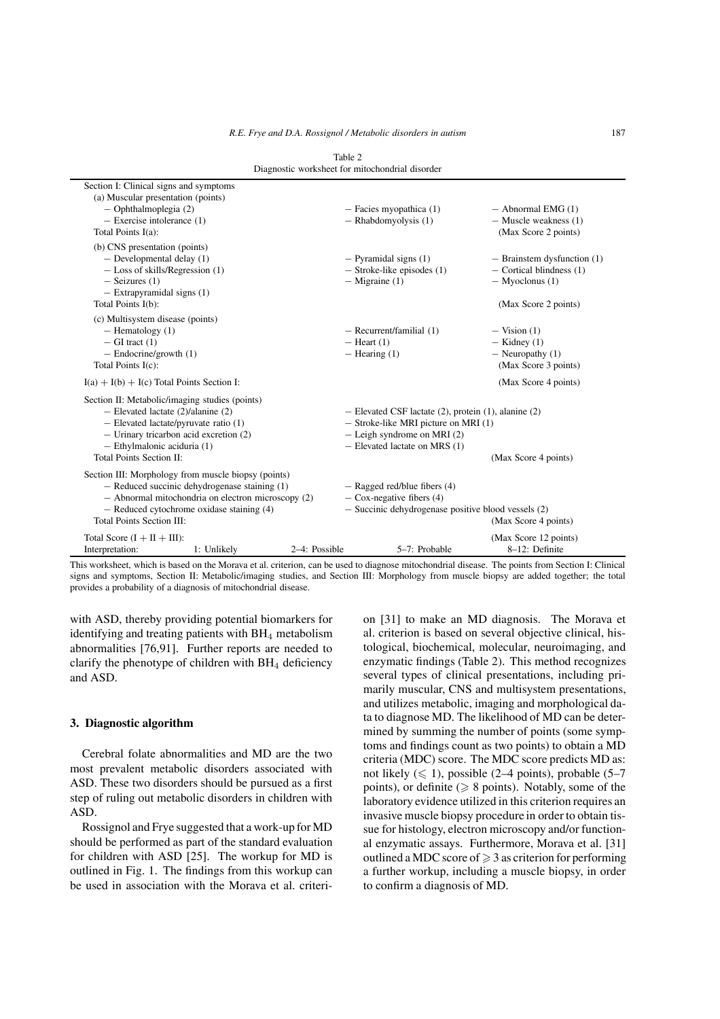| Diagnostic worksheet for mitochondrial disorder                                                                                                                                                                                                         |             |                                                                      |                                                                                                                                                                                              |                                                                                                                |  |
|---------------------------------------------------------------------------------------------------------------------------------------------------------------------------------------------------------------------------------------------------------|-------------|----------------------------------------------------------------------|----------------------------------------------------------------------------------------------------------------------------------------------------------------------------------------------|----------------------------------------------------------------------------------------------------------------|--|
| Section I: Clinical signs and symptoms<br>(a) Muscular presentation (points)<br>$-$ Ophthalmoplegia $(2)$<br>$-$ Exercise intolerance $(1)$<br>Total Points I(a):                                                                                       |             |                                                                      | $-$ Facies myopathica $(1)$<br>$-$ Rhabdomyolysis $(1)$                                                                                                                                      | $-$ Abnormal EMG $(1)$<br>$-$ Muscle weakness $(1)$<br>(Max Score 2 points)                                    |  |
| (b) CNS presentation (points)<br>$-$ Developmental delay $(1)$<br>$-$ Loss of skills/Regression (1)<br>$-$ Seizures $(1)$<br>$-$ Extrapyramidal signs $(1)$<br>Total Points I(b):                                                                       |             |                                                                      | $-$ Pyramidal signs $(1)$<br>$-$ Stroke-like episodes $(1)$<br>$-$ Migraine $(1)$                                                                                                            | $-$ Brainstem dysfunction $(1)$<br>$-$ Cortical blindness $(1)$<br>$-$ Myoclonus $(1)$<br>(Max Score 2 points) |  |
| (c) Multisystem disease (points)<br>$-$ Hematology $(1)$<br>$-$ GI tract $(1)$<br>$-$ Endocrine/growth $(1)$<br>Total Points I(c):                                                                                                                      |             | $-$ Recurrent/familial $(1)$<br>$-$ Heart $(1)$<br>$-$ Hearing $(1)$ | $-$ Vision $(1)$<br>$-$ Kidney $(1)$<br>$-$ Neuropathy $(1)$<br>(Max Score 3 points)                                                                                                         |                                                                                                                |  |
| $I(a) + I(b) + I(c)$ Total Points Section I:                                                                                                                                                                                                            |             |                                                                      |                                                                                                                                                                                              | (Max Score 4 points)                                                                                           |  |
| Section II: Metabolic/imaging studies (points)<br>$-$ Elevated lactate (2)/alanine (2)<br>$-$ Elevated lactate/pyruvate ratio $(1)$<br>$-$ Urinary tricarbon acid excretion $(2)$<br>$-$ Ethylmalonic aciduria $(1)$<br>Total Points Section II:        |             |                                                                      | $-$ Elevated CSF lactate (2), protein (1), alanine (2)<br>$-$ Stroke-like MRI picture on MRI (1)<br>- Leigh syndrome on MRI (2)<br>$-$ Elevated lactate on MRS $(1)$<br>(Max Score 4 points) |                                                                                                                |  |
| Section III: Morphology from muscle biopsy (points)<br>$-$ Reduced succinic dehydrogenase staining $(1)$<br>$-$ Abnormal mitochondria on electron microscopy $(2)$<br>$-$ Reduced cytochrome oxidase staining $(4)$<br><b>Total Points Section III:</b> |             |                                                                      | $-$ Ragged red/blue fibers (4)<br>$-$ Cox-negative fibers (4)<br>$-$ Succinic dehydrogenase positive blood vessels $(2)$<br>(Max Score 4 points)                                             |                                                                                                                |  |
| Total Score $(I + II + III)$ :<br>Interpretation:                                                                                                                                                                                                       | 1: Unlikely | 2-4: Possible                                                        | 5-7: Probable                                                                                                                                                                                | (Max Score 12 points)<br>8-12: Definite                                                                        |  |

This worksheet, which is based on the Morava et al. criterion, can be used to diagnose mitochondrial disease. The points from Section I: Clinical signs and symptoms, Section II: Metabolic/imaging studies, and Section III: Morphology from muscle biopsy are added together; the total provides a probability of a diagnosis of mitochondrial disease.

with ASD, thereby providing potential biomarkers for identifying and treating patients with BH<sub>4</sub> metabolism abnormalities [76,91]. Further reports are needed to clarify the phenotype of children with  $BH<sub>4</sub>$  deficiency and ASD.

# **3. Diagnostic algorithm**

Cerebral folate abnormalities and MD are the two most prevalent metabolic disorders associated with ASD. These two disorders should be pursued as a first step of ruling out metabolic disorders in children with ASD.

Rossignol and Frye suggested that a work-up for MD should be performed as part of the standard evaluation for children with ASD [25]. The workup for MD is outlined in Fig. 1. The findings from this workup can be used in association with the Morava et al. criterion [31] to make an MD diagnosis. The Morava et al. criterion is based on several objective clinical, histological, biochemical, molecular, neuroimaging, and enzymatic findings (Table 2). This method recognizes several types of clinical presentations, including primarily muscular, CNS and multisystem presentations, and utilizes metabolic, imaging and morphological data to diagnose MD. The likelihood of MD can be determined by summing the number of points (some symptoms and findings count as two points) to obtain a MD criteria (MDC) score. The MDC score predicts MD as: not likely  $(\leq 1)$ , possible (2–4 points), probable (5–7 points), or definite ( $\geq 8$  points). Notably, some of the laboratory evidence utilized in this criterion requires an invasive muscle biopsy procedure in order to obtain tissue for histology, electron microscopy and/or functional enzymatic assays. Furthermore, Morava et al. [31] outlined a MDC score of  $\geqslant$  3 as criterion for performing a further workup, including a muscle biopsy, in order to confirm a diagnosis of MD.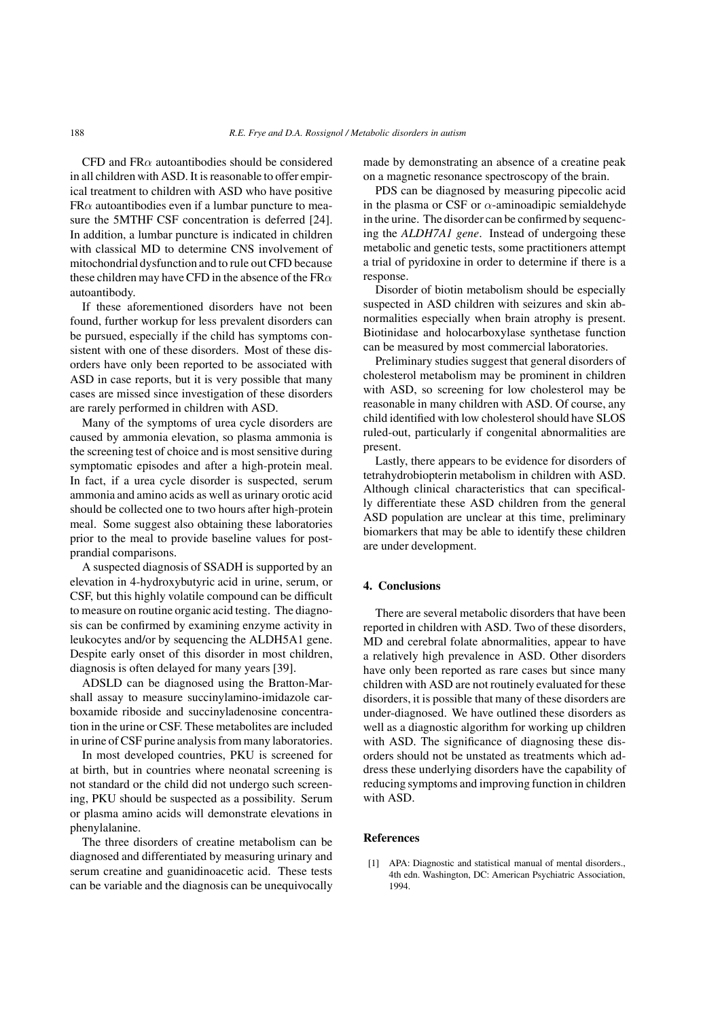CFD and  $FR\alpha$  autoantibodies should be considered in all children with ASD. It is reasonable to offer empirical treatment to children with ASD who have positive  $F R \alpha$  autoantibodies even if a lumbar puncture to measure the 5MTHF CSF concentration is deferred [24]. In addition, a lumbar puncture is indicated in children with classical MD to determine CNS involvement of mitochondrial dysfunction and to rule out CFD because these children may have CFD in the absence of the FR $\alpha$ autoantibody.

If these aforementioned disorders have not been found, further workup for less prevalent disorders can be pursued, especially if the child has symptoms consistent with one of these disorders. Most of these disorders have only been reported to be associated with ASD in case reports, but it is very possible that many cases are missed since investigation of these disorders are rarely performed in children with ASD.

Many of the symptoms of urea cycle disorders are caused by ammonia elevation, so plasma ammonia is the screening test of choice and is most sensitive during symptomatic episodes and after a high-protein meal. In fact, if a urea cycle disorder is suspected, serum ammonia and amino acids as well as urinary orotic acid should be collected one to two hours after high-protein meal. Some suggest also obtaining these laboratories prior to the meal to provide baseline values for postprandial comparisons.

A suspected diagnosis of SSADH is supported by an elevation in 4-hydroxybutyric acid in urine, serum, or CSF, but this highly volatile compound can be difficult to measure on routine organic acid testing. The diagnosis can be confirmed by examining enzyme activity in leukocytes and/or by sequencing the ALDH5A1 gene. Despite early onset of this disorder in most children, diagnosis is often delayed for many years [39].

ADSLD can be diagnosed using the Bratton-Marshall assay to measure succinylamino-imidazole carboxamide riboside and succinyladenosine concentration in the urine or CSF. These metabolites are included in urine of CSF purine analysis from many laboratories.

In most developed countries, PKU is screened for at birth, but in countries where neonatal screening is not standard or the child did not undergo such screening, PKU should be suspected as a possibility. Serum or plasma amino acids will demonstrate elevations in phenylalanine.

The three disorders of creatine metabolism can be diagnosed and differentiated by measuring urinary and serum creatine and guanidinoacetic acid. These tests can be variable and the diagnosis can be unequivocally made by demonstrating an absence of a creatine peak on a magnetic resonance spectroscopy of the brain.

PDS can be diagnosed by measuring pipecolic acid in the plasma or CSF or  $\alpha$ -aminoadipic semialdehyde in the urine. The disorder can be confirmed by sequencing the *ALDH7A1 gene*. Instead of undergoing these metabolic and genetic tests, some practitioners attempt a trial of pyridoxine in order to determine if there is a response.

Disorder of biotin metabolism should be especially suspected in ASD children with seizures and skin abnormalities especially when brain atrophy is present. Biotinidase and holocarboxylase synthetase function can be measured by most commercial laboratories.

Preliminary studies suggest that general disorders of cholesterol metabolism may be prominent in children with ASD, so screening for low cholesterol may be reasonable in many children with ASD. Of course, any child identified with low cholesterol should have SLOS ruled-out, particularly if congenital abnormalities are present.

Lastly, there appears to be evidence for disorders of tetrahydrobiopterin metabolism in children with ASD. Although clinical characteristics that can specifically differentiate these ASD children from the general ASD population are unclear at this time, preliminary biomarkers that may be able to identify these children are under development.

# **4. Conclusions**

There are several metabolic disorders that have been reported in children with ASD. Two of these disorders, MD and cerebral folate abnormalities, appear to have a relatively high prevalence in ASD. Other disorders have only been reported as rare cases but since many children with ASD are not routinely evaluated for these disorders, it is possible that many of these disorders are under-diagnosed. We have outlined these disorders as well as a diagnostic algorithm for working up children with ASD. The significance of diagnosing these disorders should not be unstated as treatments which address these underlying disorders have the capability of reducing symptoms and improving function in children with ASD.

# **References**

[1] APA: Diagnostic and statistical manual of mental disorders., 4th edn. Washington, DC: American Psychiatric Association, 1994.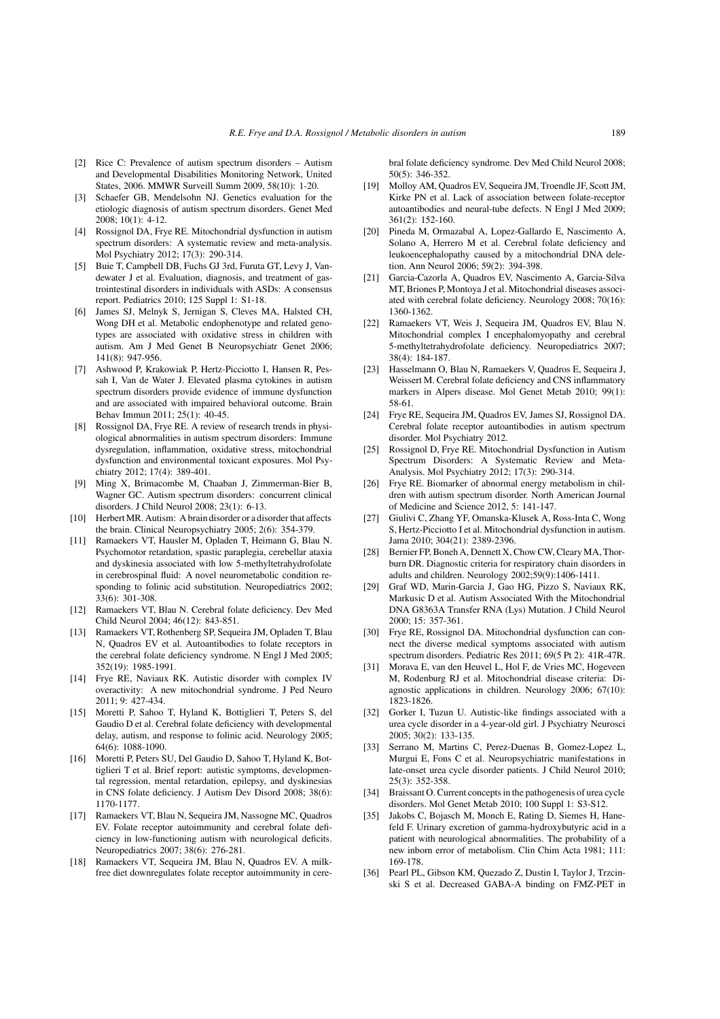- [2] Rice C: Prevalence of autism spectrum disorders Autism and Developmental Disabilities Monitoring Network, United States, 2006. MMWR Surveill Summ 2009, 58(10): 1-20.
- [3] Schaefer GB, Mendelsohn NJ. Genetics evaluation for the etiologic diagnosis of autism spectrum disorders. Genet Med 2008; 10(1): 4-12.
- [4] Rossignol DA, Frye RE. Mitochondrial dysfunction in autism spectrum disorders: A systematic review and meta-analysis. Mol Psychiatry 2012; 17(3): 290-314.
- [5] Buie T, Campbell DB, Fuchs GJ 3rd, Furuta GT, Levy J, Vandewater J et al. Evaluation, diagnosis, and treatment of gastrointestinal disorders in individuals with ASDs: A consensus report. Pediatrics 2010; 125 Suppl 1: S1-18.
- [6] James SJ, Melnyk S, Jernigan S, Cleves MA, Halsted CH, Wong DH et al. Metabolic endophenotype and related genotypes are associated with oxidative stress in children with autism. Am J Med Genet B Neuropsychiatr Genet 2006; 141(8): 947-956.
- [7] Ashwood P, Krakowiak P, Hertz-Picciotto I, Hansen R, Pessah I, Van de Water J. Elevated plasma cytokines in autism spectrum disorders provide evidence of immune dysfunction and are associated with impaired behavioral outcome. Brain Behav Immun 2011; 25(1): 40-45.
- [8] Rossignol DA, Frye RE. A review of research trends in physiological abnormalities in autism spectrum disorders: Immune dysregulation, inflammation, oxidative stress, mitochondrial dysfunction and environmental toxicant exposures. Mol Psychiatry 2012; 17(4): 389-401.
- [9] Ming X, Brimacombe M, Chaaban J, Zimmerman-Bier B, Wagner GC. Autism spectrum disorders: concurrent clinical disorders. J Child Neurol 2008; 23(1): 6-13.
- [10] Herbert MR. Autism: A brain disorder or a disorder that affects the brain. Clinical Neuropsychiatry 2005; 2(6): 354-379.
- [11] Ramaekers VT, Hausler M, Opladen T, Heimann G, Blau N. Psychomotor retardation, spastic paraplegia, cerebellar ataxia and dyskinesia associated with low 5-methyltetrahydrofolate in cerebrospinal fluid: A novel neurometabolic condition responding to folinic acid substitution. Neuropediatrics 2002; 33(6): 301-308.
- [12] Ramaekers VT, Blau N. Cerebral folate deficiency. Dev Med Child Neurol 2004; 46(12): 843-851.
- [13] Ramaekers VT, Rothenberg SP, Sequeira JM, Opladen T, Blau N, Quadros EV et al. Autoantibodies to folate receptors in the cerebral folate deficiency syndrome. N Engl J Med 2005; 352(19): 1985-1991.
- [14] Frye RE, Naviaux RK. Autistic disorder with complex IV overactivity: A new mitochondrial syndrome. J Ped Neuro 2011; 9: 427-434.
- [15] Moretti P, Sahoo T, Hyland K, Bottiglieri T, Peters S, del Gaudio D et al. Cerebral folate deficiency with developmental delay, autism, and response to folinic acid. Neurology 2005; 64(6): 1088-1090.
- [16] Moretti P, Peters SU, Del Gaudio D, Sahoo T, Hyland K, Bottiglieri T et al. Brief report: autistic symptoms, developmental regression, mental retardation, epilepsy, and dyskinesias in CNS folate deficiency. J Autism Dev Disord 2008; 38(6): 1170-1177.
- [17] Ramaekers VT, Blau N, Sequeira JM, Nassogne MC, Quadros EV. Folate receptor autoimmunity and cerebral folate deficiency in low-functioning autism with neurological deficits. Neuropediatrics 2007; 38(6): 276-281.
- [18] Ramaekers VT, Sequeira JM, Blau N, Quadros EV. A milkfree diet downregulates folate receptor autoimmunity in cere-

bral folate deficiency syndrome. Dev Med Child Neurol 2008; 50(5): 346-352.

- [19] Molloy AM, Quadros EV, Sequeira JM, Troendle JF, Scott JM, Kirke PN et al. Lack of association between folate-receptor autoantibodies and neural-tube defects. N Engl J Med 2009; 361(2): 152-160.
- [20] Pineda M, Ormazabal A, Lopez-Gallardo E, Nascimento A, Solano A, Herrero M et al. Cerebral folate deficiency and leukoencephalopathy caused by a mitochondrial DNA deletion. Ann Neurol 2006; 59(2): 394-398.
- [21] Garcia-Cazorla A, Quadros EV, Nascimento A, Garcia-Silva MT, Briones P, Montoya J et al. Mitochondrial diseases associated with cerebral folate deficiency. Neurology 2008; 70(16): 1360-1362.
- [22] Ramaekers VT, Weis J, Sequeira JM, Quadros EV, Blau N. Mitochondrial complex I encephalomyopathy and cerebral 5-methyltetrahydrofolate deficiency. Neuropediatrics 2007; 38(4): 184-187.
- [23] Hasselmann O, Blau N, Ramaekers V, Quadros E, Sequeira J, Weissert M. Cerebral folate deficiency and CNS inflammatory markers in Alpers disease. Mol Genet Metab 2010; 99(1): 58-61.
- [24] Frve RE, Sequeira JM, Quadros EV, James SJ, Rossignol DA. Cerebral folate receptor autoantibodies in autism spectrum disorder. Mol Psychiatry 2012.
- [25] Rossignol D, Frye RE. Mitochondrial Dysfunction in Autism Spectrum Disorders: A Systematic Review and Meta-Analysis. Mol Psychiatry 2012; 17(3): 290-314.
- [26] Frye RE. Biomarker of abnormal energy metabolism in children with autism spectrum disorder. North American Journal of Medicine and Science 2012, 5: 141-147.
- [27] Giulivi C, Zhang YF, Omanska-Klusek A, Ross-Inta C, Wong S, Hertz-Picciotto I et al. Mitochondrial dysfunction in autism. Jama 2010; 304(21): 2389-2396.
- [28] Bernier FP, Boneh A, Dennett X, Chow CW, Cleary MA, Thorburn DR. Diagnostic criteria for respiratory chain disorders in adults and children. Neurology 2002;59(9):1406-1411.
- [29] Graf WD, Marin-Garcia J, Gao HG, Pizzo S, Naviaux RK, Markusic D et al. Autism Associated With the Mitochondrial DNA G8363A Transfer RNA (Lys) Mutation. J Child Neurol 2000; 15: 357-361.
- [30] Frye RE, Rossignol DA. Mitochondrial dysfunction can connect the diverse medical symptoms associated with autism spectrum disorders. Pediatric Res 2011; 69(5 Pt 2): 41R-47R.
- [31] Morava E, van den Heuvel L, Hol F, de Vries MC, Hogeveen M, Rodenburg RJ et al. Mitochondrial disease criteria: Diagnostic applications in children. Neurology 2006; 67(10): 1823-1826.
- [32] Gorker I, Tuzun U. Autistic-like findings associated with a urea cycle disorder in a 4-year-old girl. J Psychiatry Neurosci 2005; 30(2): 133-135.
- [33] Serrano M, Martins C, Perez-Duenas B, Gomez-Lopez L, Murgui E, Fons C et al. Neuropsychiatric manifestations in late-onset urea cycle disorder patients. J Child Neurol 2010; 25(3): 352-358.
- [34] Braissant O. Current concepts in the pathogenesis of urea cycle disorders. Mol Genet Metab 2010; 100 Suppl 1: S3-S12.
- [35] Jakobs C, Bojasch M, Monch E, Rating D, Siemes H, Hanefeld F. Urinary excretion of gamma-hydroxybutyric acid in a patient with neurological abnormalities. The probability of a new inborn error of metabolism. Clin Chim Acta 1981; 111: 169-178.
- [36] Pearl PL, Gibson KM, Quezado Z, Dustin I, Taylor J, Trzcinski S et al. Decreased GABA-A binding on FMZ-PET in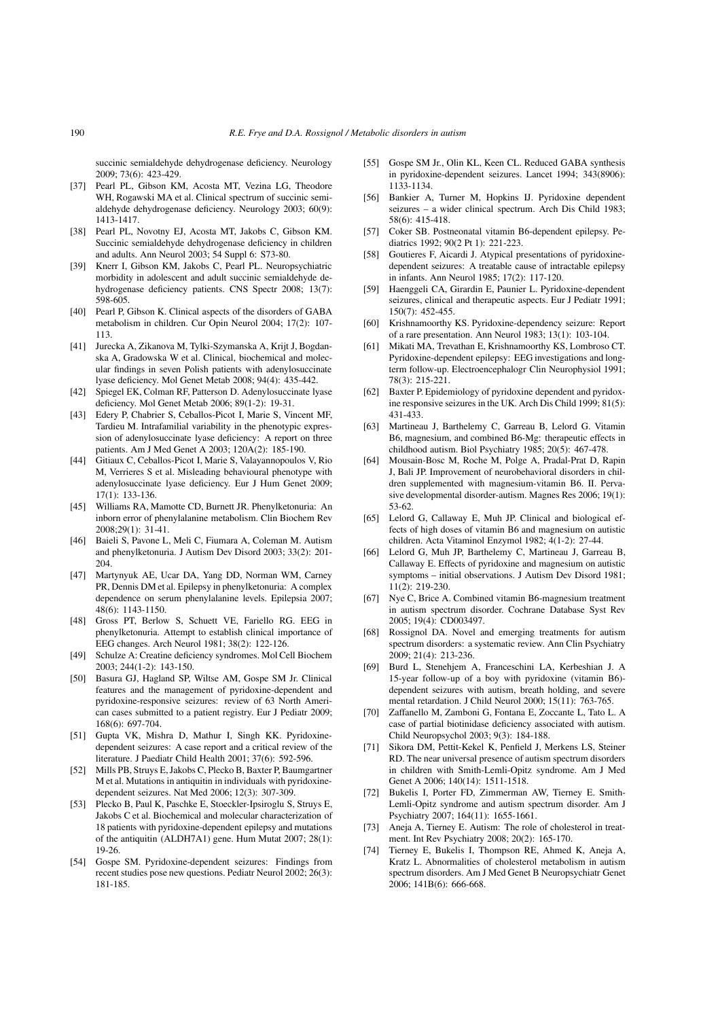succinic semialdehyde dehydrogenase deficiency. Neurology 2009; 73(6): 423-429.

- [37] Pearl PL, Gibson KM, Acosta MT, Vezina LG, Theodore WH, Rogawski MA et al. Clinical spectrum of succinic semialdehyde dehydrogenase deficiency. Neurology 2003; 60(9): 1413-1417.
- [38] Pearl PL, Novotny EJ, Acosta MT, Jakobs C, Gibson KM. Succinic semialdehyde dehydrogenase deficiency in children and adults. Ann Neurol 2003; 54 Suppl 6: S73-80.
- [39] Knerr I, Gibson KM, Jakobs C, Pearl PL. Neuropsychiatric morbidity in adolescent and adult succinic semialdehyde dehydrogenase deficiency patients. CNS Spectr 2008; 13(7): 598-605.
- [40] Pearl P, Gibson K. Clinical aspects of the disorders of GABA metabolism in children. Cur Opin Neurol 2004; 17(2): 107- 113.
- [41] Jurecka A, Zikanova M, Tylki-Szymanska A, Krijt J, Bogdanska A, Gradowska W et al. Clinical, biochemical and molecular findings in seven Polish patients with adenylosuccinate lyase deficiency. Mol Genet Metab 2008; 94(4): 435-442.
- [42] Spiegel EK, Colman RF, Patterson D. Adenylosuccinate lyase deficiency. Mol Genet Metab 2006; 89(1-2): 19-31.
- [43] Edery P, Chabrier S, Ceballos-Picot I, Marie S, Vincent MF, Tardieu M. Intrafamilial variability in the phenotypic expression of adenylosuccinate lyase deficiency: A report on three patients. Am J Med Genet A 2003; 120A(2): 185-190.
- [44] Gitiaux C, Ceballos-Picot I, Marie S, Valayannopoulos V, Rio M, Verrieres S et al. Misleading behavioural phenotype with adenylosuccinate lyase deficiency. Eur J Hum Genet 2009; 17(1): 133-136.
- [45] Williams RA, Mamotte CD, Burnett JR. Phenylketonuria: An inborn error of phenylalanine metabolism. Clin Biochem Rev 2008;29(1): 31-41.
- [46] Baieli S, Pavone L, Meli C, Fiumara A, Coleman M. Autism and phenylketonuria. J Autism Dev Disord 2003; 33(2): 201- 204.
- [47] Martynyuk AE, Ucar DA, Yang DD, Norman WM, Carney PR, Dennis DM et al. Epilepsy in phenylketonuria: A complex dependence on serum phenylalanine levels. Epilepsia 2007; 48(6): 1143-1150.
- [48] Gross PT, Berlow S, Schuett VE, Fariello RG. EEG in phenylketonuria. Attempt to establish clinical importance of EEG changes. Arch Neurol 1981; 38(2): 122-126.
- [49] Schulze A: Creatine deficiency syndromes. Mol Cell Biochem 2003; 244(1-2): 143-150.
- [50] Basura GJ, Hagland SP, Wiltse AM, Gospe SM Jr. Clinical features and the management of pyridoxine-dependent and pyridoxine-responsive seizures: review of 63 North American cases submitted to a patient registry. Eur J Pediatr 2009; 168(6): 697-704.
- [51] Gupta VK, Mishra D, Mathur I, Singh KK. Pyridoxinedependent seizures: A case report and a critical review of the literature. J Paediatr Child Health 2001; 37(6): 592-596.
- [52] Mills PB, Struys E, Jakobs C, Plecko B, Baxter P, Baumgartner M et al. Mutations in antiquitin in individuals with pyridoxinedependent seizures. Nat Med 2006; 12(3): 307-309.
- [53] Plecko B, Paul K, Paschke E, Stoeckler-Ipsiroglu S, Struys E, Jakobs C et al. Biochemical and molecular characterization of 18 patients with pyridoxine-dependent epilepsy and mutations of the antiquitin (ALDH7A1) gene. Hum Mutat 2007; 28(1): 19-26.
- [54] Gospe SM. Pyridoxine-dependent seizures: Findings from recent studies pose new questions. Pediatr Neurol 2002; 26(3): 181-185.
- [55] Gospe SM Jr., Olin KL, Keen CL. Reduced GABA synthesis in pyridoxine-dependent seizures. Lancet 1994; 343(8906): 1133-1134.
- [56] Bankier A, Turner M, Hopkins IJ. Pyridoxine dependent seizures – a wider clinical spectrum. Arch Dis Child 1983; 58(6): 415-418.
- [57] Coker SB. Postneonatal vitamin B6-dependent epilepsy. Pediatrics 1992; 90(2 Pt 1): 221-223.
- [58] Goutieres F, Aicardi J. Atypical presentations of pyridoxinedependent seizures: A treatable cause of intractable epilepsy in infants. Ann Neurol 1985; 17(2): 117-120.
- [59] Haenggeli CA, Girardin E, Paunier L. Pyridoxine-dependent seizures, clinical and therapeutic aspects. Eur J Pediatr 1991; 150(7): 452-455.
- [60] Krishnamoorthy KS. Pyridoxine-dependency seizure: Report of a rare presentation. Ann Neurol 1983; 13(1): 103-104.
- [61] Mikati MA, Trevathan E, Krishnamoorthy KS, Lombroso CT. Pyridoxine-dependent epilepsy: EEG investigations and longterm follow-up. Electroencephalogr Clin Neurophysiol 1991; 78(3): 215-221.
- [62] Baxter P. Epidemiology of pyridoxine dependent and pyridoxine responsive seizures in the UK. Arch Dis Child 1999; 81(5): 431-433.
- [63] Martineau J, Barthelemy C, Garreau B, Lelord G. Vitamin B6, magnesium, and combined B6-Mg: therapeutic effects in childhood autism. Biol Psychiatry 1985; 20(5): 467-478.
- [64] Mousain-Bosc M, Roche M, Polge A, Pradal-Prat D, Rapin J, Bali JP. Improvement of neurobehavioral disorders in children supplemented with magnesium-vitamin B6. II. Pervasive developmental disorder-autism. Magnes Res 2006; 19(1): 53-62.
- [65] Lelord G, Callaway E, Muh JP. Clinical and biological effects of high doses of vitamin B6 and magnesium on autistic children. Acta Vitaminol Enzymol 1982; 4(1-2): 27-44.
- [66] Lelord G, Muh JP, Barthelemy C, Martineau J, Garreau B, Callaway E. Effects of pyridoxine and magnesium on autistic symptoms – initial observations. J Autism Dev Disord 1981; 11(2): 219-230.
- [67] Nye C, Brice A. Combined vitamin B6-magnesium treatment in autism spectrum disorder. Cochrane Database Syst Rev 2005; 19(4): CD003497.
- [68] Rossignol DA. Novel and emerging treatments for autism spectrum disorders: a systematic review. Ann Clin Psychiatry 2009; 21(4): 213-236.
- [69] Burd L, Stenehjem A, Franceschini LA, Kerbeshian J. A 15-year follow-up of a boy with pyridoxine (vitamin B6) dependent seizures with autism, breath holding, and severe mental retardation. J Child Neurol 2000; 15(11): 763-765.
- [70] Zaffanello M, Zamboni G, Fontana E, Zoccante L, Tato L. A case of partial biotinidase deficiency associated with autism. Child Neuropsychol 2003; 9(3): 184-188.
- [71] Sikora DM, Pettit-Kekel K, Penfield J, Merkens LS, Steiner RD. The near universal presence of autism spectrum disorders in children with Smith-Lemli-Opitz syndrome. Am J Med Genet A 2006; 140(14): 1511-1518.
- [72] Bukelis I, Porter FD, Zimmerman AW, Tierney E. Smith-Lemli-Opitz syndrome and autism spectrum disorder. Am J Psychiatry 2007; 164(11): 1655-1661.
- [73] Aneja A, Tierney E. Autism: The role of cholesterol in treatment. Int Rev Psychiatry 2008; 20(2): 165-170.
- [74] Tierney E, Bukelis I, Thompson RE, Ahmed K, Aneja A, Kratz L. Abnormalities of cholesterol metabolism in autism spectrum disorders. Am J Med Genet B Neuropsychiatr Genet 2006; 141B(6): 666-668.